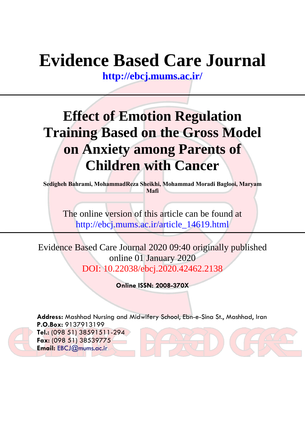# **Evidence Based Care Journal**

**<http://ebcj.mums.ac.ir/>**

## **Effect of Emotion Regulation Training Based on the Gross Model on Anxiety among Parents of Children with Cancer**

**Sedigheh Bahrami, MohammadReza Sheikhi, Mohammad Moradi Baglooi, Maryam Mafi**

The online version of this article can be found at http://ebcj.mums.ac.ir/article\_14619.html

Evidence Based Care Journal 2020 09:40 originally published online 01 January 2020 DOI: 10.22038/ebcj.2020.42462.2138

**Online ISSN: 2008-370X**

**Address:** Mashhad Nursing and Midwifery School, Ebn-e-Sina St., Mashhad, Iran **P.O.Box:** 9137913199 **Tel.:** (098 51) 38591511-294 **Fax:** (098 51) 38539775 **Email:** [EBCJ@mums.ac.ir](mailto:EBCJ@mums.ac.ir)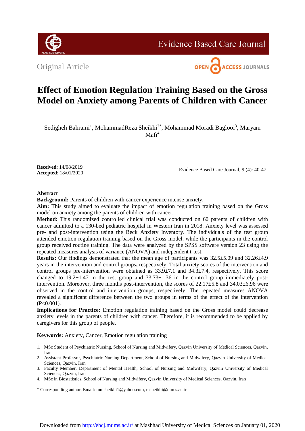

**Evidence Based Care Journal** 

Original Article



### **Effect of Emotion Regulation Training Based on the Gross Model on Anxiety among Parents of Children with Cancer**

Sedigheh Bahrami<sup>1</sup>, MohammadReza Sheikhi<sup>2\*</sup>, Mohammad Moradi Baglooi<sup>3</sup>, Maryam  $Mafi<sup>4</sup>$ 

**Received**: 14/08/2019 **Accepted**: 18/01/2020

Evidence Based Care Journal, 9 (4): 40-47

#### **Abstract**

**Background:** Parents of children with cancer experience intense anxiety.

**Aim:** This study aimed to evaluate the impact of emotion regulation training based on the Gross model on anxiety among the parents of children with cancer.

**Method:** This randomized controlled clinical trial was conducted on 60 parents of children with cancer admitted to a 130-bed pediatric hospital in Western Iran in 2018. Anxiety level was assessed pre- and post-intervention using the Beck Anxiety Inventory. The individuals of the test group attended emotion regulation training based on the Gross model, while the participants in the control group received routine training. The data were analyzed by the SPSS software version 23 using the repeated measures analysis of variance (ANOVA) and independent t-test.

**Results:** Our findings demonstrated that the mean age of participants was 32.5±5.09 and 32.26±4.9 years in the intervention and control groups**,** respectively. Total anxiety scores of the intervention and control groups pre-intervention were obtained as  $33.9\pm7.1$  and  $34.3\pm7.4$ , respectively. This score changed to  $19.2 \pm 1.47$  in the test group and  $33.73 \pm 1.36$  in the control group immediately postintervention. Moreover, three months post-intervention, the scores of  $22.17\pm5.8$  and  $34.03\pm6.96$  were observed in the control and intervention groups, respectively. The repeated measures ANOVA revealed a significant difference between the two groups in terms of the effect of the intervention  $(P<0.001)$ .

**Implications for Practice:** Emotion regulation training based on the Gross model could decrease anxiety levels in the parents of children with cancer. Therefore, it is recommended to be applied by caregivers for this group of people.

**Keywords:** Anxiety, Cancer, Emotion regulation training

\* Corresponding author, Email: mmsheikhi1@yahoo.com, msheikhi@qums.ac.ir

<sup>1.</sup> MSc Student of Psychiatric Nursing, School of Nursing and Midwifery, Qazvin University of Medical Sciences, Qazvin, Iran

<sup>2.</sup> Assistant Professor, Psychiatric Nursing Department, School of Nursing and Midwifery, Qazvin University of Medical Sciences, Qazvin, Iran

<sup>3.</sup> Faculty Member, Department of Mental Health, School of Nursing and Midwifery, Qazvin University of Medical Sciences, Qazvin, Iran

<sup>4.</sup> MSc in Biostatistics, School of Nursing and Midwifery, Qazvin University of Medical Sciences, Qazvin, Iran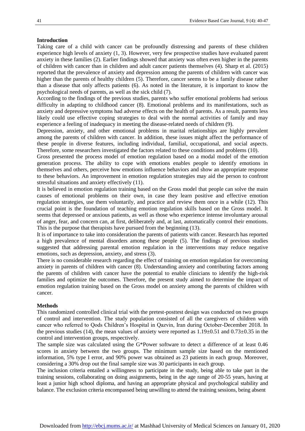#### **Introduction**

Taking care of a child with cancer can be profoundly distressing and parents of these children experience high levels of anxiety (1, 3). However, very few prospective studies have evaluated parent anxiety in these families (2). Earlier findings showed that anxiety was often even higher in the parents of children with cancer than in children and adult cancer patients themselves (4). Sharp et al. (2015) reported that the prevalence of anxiety and depression among the parents of children with cancer was higher than the parents of healthy children (5). Therefore, cancer seems to be a family disease rather than a disease that only affects patients (6). As noted in the literature, it is important to know the psychological needs of parents, as well as the sick child (7).

According to the findings of the previous studies, parents who suffer emotional problems had serious difficulty in adapting to childhood cancer (8). Emotional problems and its manifestations, such as anxiety and depressive symptoms had adverse effects on the health of parents. As a result, parents less likely could use effective coping strategies to deal with the normal activities of family and may experience a feeling of inadequacy in meeting the disease-related needs of children (9).

Depression, anxiety, and other emotional problems in marital relationships are highly prevalent among the parents of children with cancer. In addition, these issues might affect the performance of these people in diverse features, including individual, familial, occupational, and social aspects. Therefore, some researchers investigated the factors related to these conditions and problems (10).

Gross presented the process model of emotion regulation based on a modal model of the emotion generation process. The ability to cope with emotions enables people to identify emotions in themselves and others, perceive how emotions influence behaviors and show an appropriate response to these behaviors. An improvement in emotion regulation strategies may aid the person to confront stressful situations and anxiety effectively (11).

It is believed in emotion regulation training based on the Gross model that people can solve the main causes of emotional problems on their own, in case they learn positive and effective emotion regulation strategies, use them voluntarily, and practice and review them once in a while (12). This crucial point is the foundation of teaching emotion regulation skills based on the Gross model. It seems that depressed or anxious patients, as well as those who experience intense involuntary arousal of anger, fear, and concern can, at first, deliberately and, at last, automatically control their emotions. This is the purpose that therapists have pursued from the beginning (13).

It is of importance to take into consideration the parents of patients with cancer. Research has reported a high prevalence of mental disorders among these people (5). The findings of previous studies suggested that addressing parental emotion regulation in the interventions may reduce negative emotions, such as depression, anxiety, and stress (3).

There is no considerable research regarding the effect of training on emotion regulation for overcoming anxiety in parents of children with cancer (8). Understanding anxiety and contributing factors among the parents of children with cancer have the potential to enable clinicians to identify the high-risk families and optimize the outcomes. Therefore, the present study aimed to determine the impact of emotion regulation training based on the Gross model on anxiety among the parents of children with cancer.

#### **Methods**

This randomized controlled clinical trial with the pretest-posttest design was conducted on two groups of control and intervention. The study population consisted of all the caregivers of children with cancer who referred to Qods Children's Hospital in Qazvin, Iran during October-December 2018. In the previous studies (14), the mean values of anxiety were reported as  $1.19\pm0.51$  and  $0.73\pm0.35$  in the control and intervention groups, respectively.

The sample size was calculated using the G\*Power software to detect a difference of at least 0.46 scores in anxiety between the two groups. The minimum sample size based on the mentioned information, 5% type I error, and 90% power was obtained as 23 patients in each group. Moreover, considering a 30% drop out the final sample size was 30 participants in each group.

The inclusion criteria entailed a willingness to participate in the study, being able to take part in the training sessions, collaborating on doing assignments, being in the age range of 20-55 years, having at least a junior high school diploma, and having an appropriate physical and psychological stability and balance. The exclusion criteria encompassed being unwilling to attend the training sessions, being absent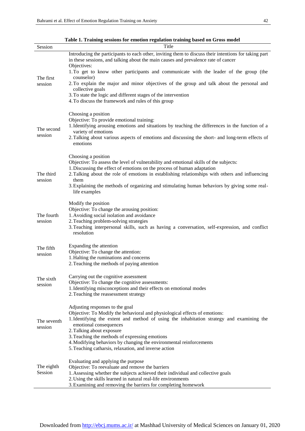÷,

| Session                | Title                                                                                                                                                                                       |
|------------------------|---------------------------------------------------------------------------------------------------------------------------------------------------------------------------------------------|
|                        | Introducing the participants to each other, inviting them to discuss their intentions for taking part<br>in these sessions, and talking about the main causes and prevalence rate of cancer |
| The first<br>session   | Objectives:<br>1. To get to know other participants and communicate with the leader of the group (the<br>counselor)                                                                         |
|                        | 2. To explain the major and minor objectives of the group and talk about the personal and<br>collective goals                                                                               |
|                        | 3. To state the logic and different stages of the intervention<br>4. To discuss the framework and rules of this group                                                                       |
| The second<br>session  | Choosing a position<br>Objective: To provide emotional training:                                                                                                                            |
|                        | 1. Identifying arousing emotions and situations by teaching the differences in the function of a<br>variety of emotions                                                                     |
|                        | 2. Talking about various aspects of emotions and discussing the short- and long-term effects of<br>emotions                                                                                 |
| The third<br>session   | Choosing a position<br>Objective: To assess the level of vulnerability and emotional skills of the subjects:                                                                                |
|                        | 1. Discussing the effect of emotions on the process of human adaptation<br>2. Talking about the role of emotions in establishing relationships with others and influencing                  |
|                        | them<br>3. Explaining the methods of organizing and stimulating human behaviors by giving some real-<br>life examples                                                                       |
| The fourth<br>session  | Modify the position<br>Objective: To change the arousing position:                                                                                                                          |
|                        | 1. Avoiding social isolation and avoidance<br>2. Teaching problem-solving strategies                                                                                                        |
|                        | 3. Teaching interpersonal skills, such as having a conversation, self-expression, and conflict<br>resolution                                                                                |
| The fifth              | Expanding the attention<br>Objective: To change the attention:                                                                                                                              |
| session                | 1. Halting the ruminations and concerns<br>2. Teaching the methods of paying attention                                                                                                      |
| The sixth              | Carrying out the cognitive assessment                                                                                                                                                       |
| session                | Objective: To change the cognitive assessments:<br>1. Identifying misconceptions and their effects on emotional modes                                                                       |
|                        | 2. Teaching the reassessment strategy                                                                                                                                                       |
| The seventh<br>session | Adjusting responses to the goal<br>Objective: To Modify the behavioral and physiological effects of emotions:                                                                               |
|                        | 1. Identifying the extent and method of using the inhabitation strategy and examining the<br>emotional consequences<br>2. Talking about exposure                                            |
|                        | 3. Teaching the methods of expressing emotions<br>4. Modifying behaviors by changing the environmental reinforcements                                                                       |
|                        | 5. Teaching catharsis, relaxation, and inverse action                                                                                                                                       |
| The eighth             | Evaluating and applying the purpose<br>Objective: To reevaluate and remove the barriers                                                                                                     |
| Session                | 1. Assessing whether the subjects achieved their individual and collective goals<br>2. Using the skills learned in natural real-life environments                                           |
|                        | 3. Examining and removing the barriers for completing homework                                                                                                                              |

**Table 1. Training sessions for emotion regulation training based on Gross model**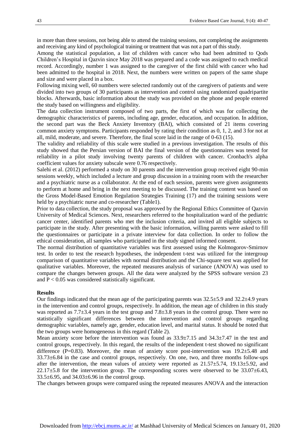in more than three sessions, not being able to attend the training sessions, not completing the assignments and receiving any kind of psychological training or treatment that was not a part of this study.

Among the statistical population, a list of children with cancer who had been admitted to Qods Children's Hospital in Qazvin since May 2018 was prepared and a code was assigned to each medical record. Accordingly, number 1 was assigned to the caregiver of the first child with cancer who had been admitted to the hospital in 2018. Next, the numbers were written on papers of the same shape and size and were placed in a box.

Following mixing well, 60 numbers were selected randomly out of the caregivers of patients and were divided into two groups of 30 participants as intervention and control using randomized quadripartite blocks. Afterwards, basic information about the study was provided on the phone and people entered the study based on willingness and eligibility.

The data collection instrument composed of two parts, the first of which was for collecting the demographic characteristics of parents, including age, gender, education, and occupation. In addition, the second part was the Beck Anxiety Inventory (BAI), which consisted of 21 items covering common anxiety symptoms. Participants responded by rating their condition as 0, 1, 2, and 3 for not at all, mild, moderate, and severe. Therefore, the final score laid in the range of 0-63 (15).

The validity and reliability of this scale were studied in a previous investigation. The results of this study showed that the Persian version of BAI the final version of the questionnaires was tested for reliability in a pilot study involving twenty parents of children with cancer. Cronbach's alpha coefficient values for anxiety subscale were 0.76 respectively.

Salehi et al. (2012) performed a study on 30 parents and the intervention group received eight 90-min sessions weekly, which included a lecture and group discussion in a training room with the researcher and a psychiatric nurse as a collaborator. At the end of each session, parents were given assignments to perform at home and bring in the next meeting to be discussed. The training content was based on the Gross Model-Based Emotion Regulation Strategies Training (17) and the training sessions were held by a psychiatric nurse and co-researcher (Table1).

Prior to data collection, the study proposal was approved by the Regional Ethics Committee of Qazvin University of Medical Sciences. Next, researchers referred to the hospitalization ward of the pediatric cancer center, identified parents who met the inclusion criteria, and invited all eligible subjects to participate in the study. After presenting with the basic information, willing parents were asked to fill the questionnaires or participate in a private interview for data collection. In order to follow the ethical consideration, all samples who participated in the study signed informed consent.

The normal distribution of quantitative variables was first assessed using the Kolmogorov-Smirnov test. In order to test the research hypotheses, the independent t-test was utilized for the intergroup comparison of quantitative variables with normal distribution and the Chi-square test was applied for qualitative variables. Moreover, the repeated measures analysis of variance (ANOVA) was used to compare the changes between groups. All the data were analyzed by the SPSS software version 23 and  $P < 0.05$  was considered statistically significant.

#### **Results**

Our findings indicated that the mean age of the participating parents was 32.5±5.9 and 32.2±4.9 years in the intervention and control groups, respectively. In addition, the mean age of children in this study was reported as 7.7±3.4 years in the test group and 7.8±3.8 years in the control group. There were no statistically significant differences between the intervention and control groups regarding demographic variables, namely age, gender, education level, and marital status. It should be noted that the two groups were homogeneous in this regard (Table 2).

Mean anxiety score before the intervention was found as  $33.9\pm7.15$  and  $34.3\pm7.47$  in the test and control groups, respectively. In this regard, the results of the independent t-test showed no significant difference (P=0.83). Moreover, the mean of anxiety score post-intervention was  $19.2 \pm 5.48$  and 33.73±6.84 in the case and control groups, respectively. On one, two, and three months follow-ups after the intervention, the mean values of anxiety were reported as  $21.57\pm5.74$ ,  $19.13\pm5.92$ , and  $22.17\pm5.8$  for the intervention group. The corresponding scores were observed to be  $33.07\pm6.43$ , 33.5±6.95, and 34.03±6.96 in the control group.

The changes between groups were compared using the repeated measures ANOVA and the interaction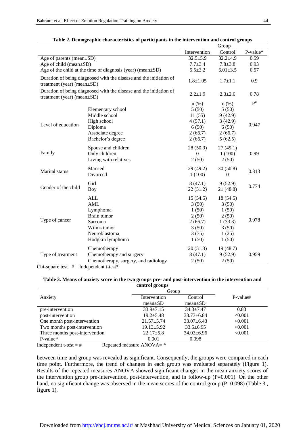|                                                                                                         |                                      | Group          |                |                   |
|---------------------------------------------------------------------------------------------------------|--------------------------------------|----------------|----------------|-------------------|
|                                                                                                         |                                      | Intervention   | Control        | P-value*          |
| Age of parents (mean±SD)                                                                                |                                      | $32.5 \pm 5.9$ | $32.2 \pm 4.9$ | 0.59              |
| Age of child (mean±SD)                                                                                  | $7.7 + 3.4$                          | $7.8 + 3.8$    | 0.93           |                   |
| Age of the child at the time of diagnosis (year) (mean±SD)                                              |                                      | $5.5 \pm 3.2$  | $6.01 \pm 3.5$ | 0.57              |
| Duration of being diagnosed with the disease and the initiation of<br>treatment (year) (mean $\pm$ SD)  |                                      | $1.8 + 1.05$   | $1.7 + 1.1$    | 0.9               |
| Duration of being diagnosed with the disease and the initiation of<br>treatment (year) (mean $\pm SD$ ) |                                      | $2.2 + 1.9$    | $2.3 \pm 2.6$  | 0.78              |
|                                                                                                         |                                      | $n$ (%)        | $n$ (%)        | $P^{\#}$<br>0.947 |
|                                                                                                         | Elementary school                    | 5(50)          | 5(50)          |                   |
|                                                                                                         | Middle school                        | 11(55)         | 9(42.9)        |                   |
| Level of education                                                                                      | High school                          | 4(57.1)        | 3(42.9)        |                   |
|                                                                                                         | Diploma                              | 6(50)          | 6(50)          |                   |
|                                                                                                         | Associate degree                     | 2(66.7)        | 2(66.7)        |                   |
|                                                                                                         | Bachelor's degree                    | 2(66.7)        | 5(62.5)        |                   |
|                                                                                                         | Spouse and children                  | 28 (50.9)      | 27(49.1)       |                   |
| Family                                                                                                  | Only children                        | $\theta$       | 1(100)         | 0.99              |
|                                                                                                         | Living with relatives                | 2(50)          | 2(50)          |                   |
|                                                                                                         | Married                              | 29 (49.2)      | 30(50.8)       |                   |
| <b>Marital</b> status                                                                                   | Divorced                             | 1(100)         | $\Omega$       | 0.313             |
|                                                                                                         |                                      |                |                |                   |
| Gender of the child                                                                                     | Girl                                 | 8(47.1)        | 9(52.9)        | 0.774             |
|                                                                                                         | <b>Boy</b>                           | 22(51.2)       | 21(48.8)       |                   |
|                                                                                                         | <b>ALL</b>                           | 15(54.5)       | 18 (54.5)      |                   |
|                                                                                                         | AML                                  | 3(50)          | 3(50)          |                   |
|                                                                                                         | Lymphoma                             | 1(50)          | 1(50)          |                   |
|                                                                                                         | Brain tumor                          | 2(50)          | 2(50)          | 0.978             |
| Type of cancer                                                                                          | Sarcoma                              | 2(66.7)        | 1(33.3)        |                   |
|                                                                                                         | Wilms tumor                          | 3(50)          | 3(50)          |                   |
|                                                                                                         | Neuroblastoma                        | 3(75)          | 1(25)          |                   |
|                                                                                                         | Hodgkin lymphoma                     | 1(50)          | 1(50)          |                   |
|                                                                                                         | Chemotherapy                         | 20(51.3)       | 19(48.7)       |                   |
| Type of treatment                                                                                       | Chemotherapy and surgery             | 8(47.1)        | 9(52.9)        | 0.959             |
|                                                                                                         | Chemotherapy, surgery, and radiology | 2(50)          | 2(50)          |                   |

**Table 2. Demographic characteristics of participants in the intervention and control groups**

Chi-square test #Independent t-test\*

#### **Table 3. Means of anxiety score in the two groups pre- and post-intervention in the intervention and control groups**

| ------                         |                                                              |                  |          |  |  |  |  |
|--------------------------------|--------------------------------------------------------------|------------------|----------|--|--|--|--|
|                                | Group                                                        |                  |          |  |  |  |  |
| Anxiety                        | Intervention                                                 | Control          | P-value# |  |  |  |  |
|                                | $mean \pm SD$                                                | $mean \pm SD$    |          |  |  |  |  |
| pre-intervention               | $33.9 + 7.15$                                                | $34.3 + 7.47$    | 0.83     |  |  |  |  |
| post-intervention              | $19.2 + 5.48$                                                | $33.73 \pm 6.84$ | < 0.001  |  |  |  |  |
| One month post-intervention    | $21.57 \pm 5.74$                                             | $33.07 + 6.43$   | < 0.001  |  |  |  |  |
| Two months post-intervention   | $19.13 \pm 5.92$                                             | $33.5 \pm 6.95$  | < 0.001  |  |  |  |  |
| Three months post-intervention | $22.17 \pm 5.8$                                              | $34.03 \pm 6.96$ | < 0.001  |  |  |  |  |
| $P-value*$                     | 0.001                                                        | 0.098            |          |  |  |  |  |
| $\sim$                         | $\cdot$ $\sim$ $\sim$ $\sim$ $\cdot$ $\cdot$ $\cdot$ $\cdot$ |                  |          |  |  |  |  |

Independent t-test =  $\#$  Repeated measure ANOVA=  $*$ 

between time and group was revealed as significant. Consequently, the groups were compared in each time point. Furthermore, the trend of changes in each group was evaluated separately (Figure 1). Results of the repeated measures ANOVA showed significant changes in the mean anxiety scores of the intervention group pre-intervention, post-intervention, and in follow-up (P=0.001). On the other hand, no significant change was observed in the mean scores of the control group (P=0.098) (Table 3, figure 1).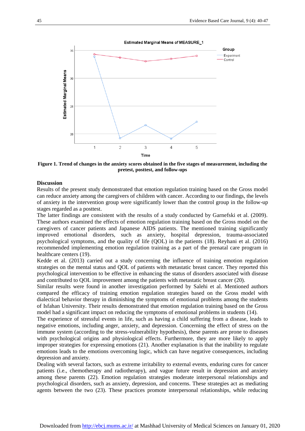

**Figure 1. Trend of changes in the anxiety scores obtained in the five stages of measurement, including the pretest, posttest, and follow-ups**

#### **Discussion**

Results of the present study demonstrated that emotion regulation training based on the Gross model can reduce anxiety among the caregivers of children with cancer. According to our findings, the levels of anxiety in the intervention group were significantly lower than the control group in the follow-up stages regarded as a posttest.

The latter findings are consistent with the results of a study conducted by Garnefski et al. (2009). These authors examined the effects of emotion regulation training based on the Gross model on the caregivers of cancer patients and Japanese AIDS patients. The mentioned training significantly improved emotional disorders, such as anxiety, hospital depression, trauma-associated psychological symptoms, and the quality of life (QOL) in the patients (18). Reyhani et al. (2016) recommended implementing emotion regulation training as a part of the prenatal care program in healthcare centers (19).

Kedde et al. (2013) carried out a study concerning the influence of training emotion regulation strategies on the mental status and QOL of patients with metastatic breast cancer. They reported this psychological intervention to be effective in enhancing the status of disorders associated with disease and contributed to QOL improvement among the patients with metastatic breast cancer (20).

Similar results were found in another investigation performed by Salehi et al. Mentioned authors compared the efficacy of training emotion regulation strategies based on the Gross model with dialectical behavior therapy in diminishing the symptoms of emotional problems among the students of Isfahan University. Their results demonstrated that emotion regulation training based on the Gross model had a significant impact on reducing the symptoms of emotional problems in students (14).

The experience of stressful events in life, such as having a child suffering from a disease, leads to negative emotions, including anger, anxiety, and depression. Concerning the effect of stress on the immune system (according to the stress-vulnerability hypothesis), these parents are prone to diseases with psychological origins and physiological effects. Furthermore, they are more likely to apply improper strategies for expressing emotions (21). Another explanation is that the inability to regulate emotions leads to the emotions overcoming logic, which can have negative consequences, including depression and anxiety.

Dealing with several factors, such as extreme irritability to external events, enduring cures for cancer patients (i.e., chemotherapy and radiotherapy), and vague future result in depression and anxiety among these parents (22). Emotion regulation strategies moderate interpersonal relationships and psychological disorders, such as anxiety, depression, and concerns. These strategies act as mediating agents between the two (23). These practices promote interpersonal relationships, while reducing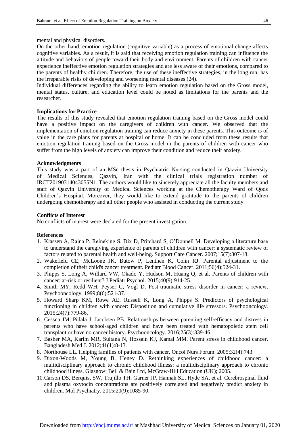mental and physical disorders.

On the other hand, emotion regulation (cognitive variable) as a process of emotional change affects cognitive variables. As a result, it is said that receiving emotion regulation training can influence the attitude and behaviors of people toward their body and environment. Parents of children with cancer experience ineffective emotion regulation strategies and are less aware of their emotions, compared to the parents of healthy children. Therefore, the use of these ineffective strategies, in the long run, has the irreparable risks of developing and worsening mental diseases (24).

Individual differences regarding the ability to learn emotion regulation based on the Gross model, mental status, culture, and education level could be noted as limitations for the parents and the researcher.

#### **Implications for Practice**

The results of this study revealed that emotion regulation training based on the Gross model could have a positive impact on the caregivers of children with cancer. We observed that the implementation of emotion regulation training can reduce anxiety in these parents. This outcome is of value in the care plans for parents at hospital or home. It can be concluded from these results that emotion regulation training based on the Gross model in the parents of children with cancer who suffer from the high levels of anxiety can improve their condition and reduce their anxiety.

#### **Acknowledgments**

This study was a part of an MSc thesis in Psychiatric Nursing conducted in Qazvin University of Medical Sciences, Qazvin, Iran with the clinical trials registration number of IRCT20190314043055N1. The authors would like to sincerely appreciate all the faculty members and staff of Qazvin University of Medical Sciences working at the Chemotherapy Ward of Qods Children's Hospital. Moreover, they would like to extend gratitude to the parents of children undergoing chemotherapy and all other people who assisted in conducting the current study.

#### **Conflicts of Interest**

No conflicts of interest were declared for the present investigation.

#### **References**

- 1. Klassen A, Raina P, Reineking S, Dix D, Pritchard S, O'Donnell M. Developing a literature base to understand the caregiving experience of parents of children with cancer: a systematic review of factors related to parental health and well-being. Support Care Cancer. 2007;15(7):807-18.
- 2. Wakefield CE, McLoone JK, Butow P, Lenthen K, Cohn RJ. Parental adjustment to the completion of their child's cancer treatment. Pediatr Blood Cancer. 2011;56(4):524-31.
- 3. Phipps S, Long A, Willard VW, Okado Y, Hudson M, Huang Q, et al. Parents of children with cancer: at-risk or resilient? J Pediatr Psychol. 2015;40(9):914-25.
- 4. Smith MY, Redd WH, Peyser C, Vogl D. Post-traumatic stress disorder in cancer: a review. Psychooncology. 1999;8(6):521-37.
- 5. Howard Sharp KM, Rowe AE, Russell K, Long A, Phipps S. Predictors of psychological functioning in children with cancer: Disposition and cumulative life stressors. Psychooncology. 2015;24(7):779-86.
- 6. Cessna JM, Pidala J, Jacobsen PB. Relationships between parenting self‐efficacy and distress in parents who have school‐aged children and have been treated with hematopoietic stem cell transplant or have no cancer history. Psychooncology. 2016;25(3):339-46.
- 7. Basher MA, Karim MR, Sultana N, Hossain KJ, Kamal MM. Parent stress in childhood cancer. Bangladesh Med J. 2012;41(1):8-13.
- 8. Northouse LL. Helping families of patients with cancer. Oncol Nurs Forum. 2005;32(4):743.
- 9. Dixon-Woods M, Young B, Heney D. Rethinking experiences of childhood cancer: a multidisciplinary approach to chronic childhood illness: a multidisciplinary approach to chronic childhood illness. Glasgow: Bell & Bain Ltd, McGraw-Hill Education (UK); 2005.
- 10.Carson DS, Berquist SW, Trujillo TH, Garner JP, Hannah SL, Hyde SA, et al. Cerebrospinal fluid and plasma oxytocin concentrations are positively correlated and negatively predict anxiety in children. Mol Psychiatry. 2015;20(9):1085-90.